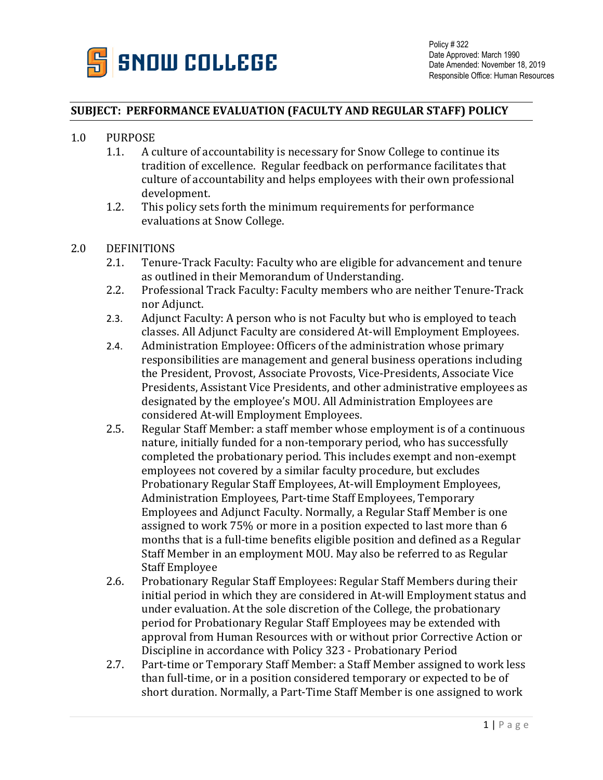

## **SUBJECT: PERFORMANCE EVALUATION (FACULTY AND REGULAR STAFF) POLICY**

- 1.0 PURPOSE<br>1.1. A c
	- A culture of accountability is necessary for Snow College to continue its tradition of excellence. Regular feedback on performance facilitates that culture of accountability and helps employees with their own professional development.
	- 1.2. This policy sets forth the minimum requirements for performance evaluations at Snow College.
- 2.0 DEFINITIONS<br>2.1. Tenure
	- 2.1. Tenure-Track Faculty: Faculty who are eligible for advancement and tenure as outlined in their Memorandum of Understanding.
	- 2.2. Professional Track Faculty: Faculty members who are neither Tenure-Track nor Adjunct.
	- 2.3. Adjunct Faculty: A person who is not Faculty but who is employed to teach classes. All Adjunct Faculty are considered At-will Employment Employees.
	- 2.4. Administration Employee: Officers of the administration whose primary responsibilities are management and general business operations including the President, Provost, Associate Provosts, Vice-Presidents, Associate Vice Presidents, Assistant Vice Presidents, and other administrative employees as designated by the employee's MOU. All Administration Employees are considered At-will Employment Employees.
	- 2.5. Regular Staff Member: a staff member whose employment is of a continuous nature, initially funded for a non-temporary period, who has successfully completed the probationary period. This includes exempt and non-exempt employees not covered by a similar faculty procedure, but excludes Probationary Regular Staff Employees, At-will Employment Employees, Administration Employees, Part-time Staff Employees, Temporary Employees and Adjunct Faculty. Normally, a Regular Staff Member is one assigned to work 75% or more in a position expected to last more than 6 months that is a full-time benefits eligible position and defined as a Regular Staff Member in an employment MOU. May also be referred to as Regular Staff Employee
	- 2.6. Probationary Regular Staff Employees: Regular Staff Members during their initial period in which they are considered in At-will Employment status and under evaluation. At the sole discretion of the College, the probationary period for Probationary Regular Staff Employees may be extended with approval from Human Resources with or without prior Corrective Action or Discipline in accordance with Policy 323 - Probationary Period
	- 2.7. Part-time or Temporary Staff Member: a Staff Member assigned to work less than full-time, or in a position considered temporary or expected to be of short duration. Normally, a Part-Time Staff Member is one assigned to work